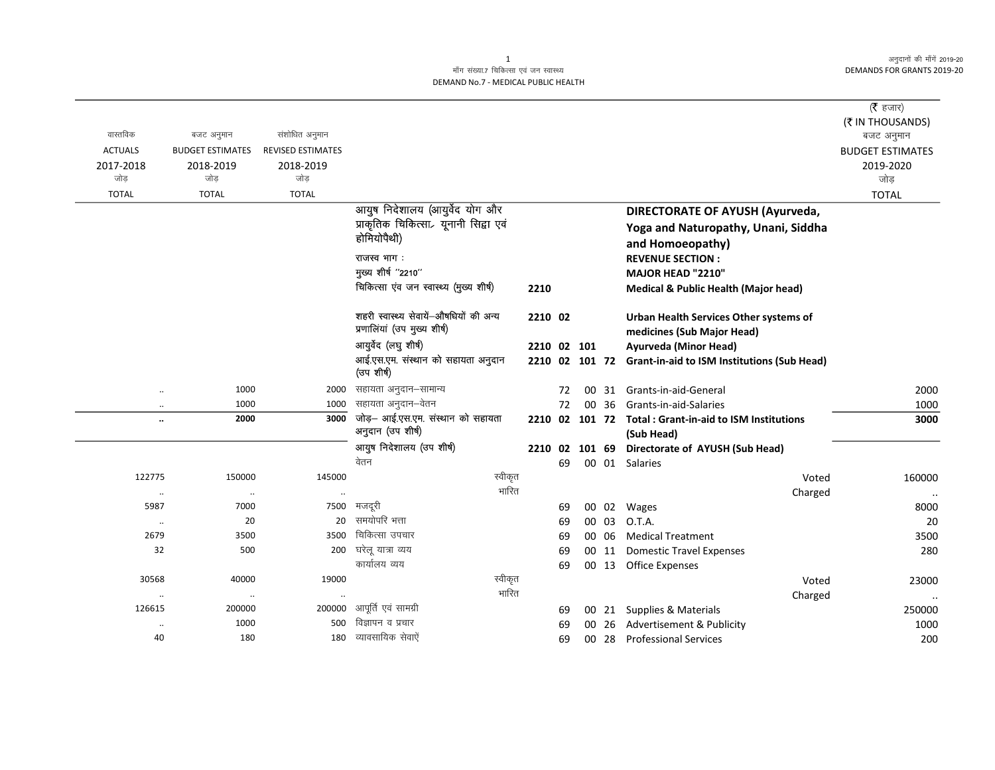$\overline{\phantom{0}}$ 

## माँग संख्या.7 चिकित्सा एवं जन स्वास्थ्य DEMAND No.7 - MEDICAL PUBLIC HEALTH

| ( $\bar{\tau}$ हजार)           |                                                                      |       |          |             |                                                                       |                   |                         |                                   |
|--------------------------------|----------------------------------------------------------------------|-------|----------|-------------|-----------------------------------------------------------------------|-------------------|-------------------------|-----------------------------------|
| (₹ IN THOUSANDS)<br>बजट अनुमान |                                                                      |       |          |             |                                                                       | संशोधित अनुमान    | बजट अनुमान              | वास्तविक                          |
| <b>BUDGET ESTIMATES</b>        |                                                                      |       |          |             |                                                                       | REVISED ESTIMATES | <b>BUDGET ESTIMATES</b> | <b>ACTUALS</b>                    |
| 2019-2020                      |                                                                      |       |          |             |                                                                       | 2018-2019         | 2018-2019               | 2017-2018                         |
| जोड़                           |                                                                      |       |          |             |                                                                       | जोड               | जोड                     | जोड                               |
| <b>TOTAL</b>                   |                                                                      |       |          |             |                                                                       | <b>TOTAL</b>      | <b>TOTAL</b>            | <b>TOTAL</b>                      |
|                                | <b>DIRECTORATE OF AYUSH (Ayurveda,</b>                               |       |          |             | आयुष निदेशालय (आयुर्वेद योग और                                        |                   |                         |                                   |
|                                | Yoga and Naturopathy, Unani, Siddha                                  |       |          |             | प्राकृतिक चिकित्सा <sub>र</sub> यूनानी सिद्वा एवं                     |                   |                         |                                   |
|                                | and Homoeopathy)                                                     |       |          |             | होमियोपैथी)                                                           |                   |                         |                                   |
|                                | <b>REVENUE SECTION:</b>                                              |       |          |             | राजस्व भाग :                                                          |                   |                         |                                   |
|                                | MAJOR HEAD "2210"                                                    |       |          |             | मुख्य शीर्ष "2210"                                                    |                   |                         |                                   |
|                                | Medical & Public Health (Major head)                                 |       |          | 2210        | चिकित्सा एंव जन स्वास्थ्य (मुख्य शीर्ष)                               |                   |                         |                                   |
|                                | Urban Health Services Other systems of<br>medicines (Sub Major Head) |       |          | 2210 02     | शहरी स्वास्थ्य सेवायें-औषधियों की अन्य<br>प्रणालियां (उप मुख्य शीर्ष) |                   |                         |                                   |
|                                | Ayurveda (Minor Head)                                                |       |          | 2210 02 101 | आयुर्वेद (लघु शीर्ष)                                                  |                   |                         |                                   |
|                                | 2210 02 101 72 Grant-in-aid to ISM Institutions (Sub Head)           |       |          |             | आई.एस.एम. संस्थान को सहायता अनुदान<br>(उप शीर्ष)                      |                   |                         |                                   |
|                                |                                                                      |       |          |             | सहायता अनुदान–सामान्य                                                 |                   | 1000                    |                                   |
| 2000<br>1000                   | 00 31 Grants-in-aid-General<br>Grants-in-aid-Salaries                | 00 36 | 72<br>72 |             | सहायता अनुदान–वेतन                                                    | 2000<br>1000      | 1000                    | $\ddot{\phantom{a}}$              |
| 3000                           | 2210 02 101 72 Total: Grant-in-aid to ISM Institutions               |       |          |             | जोड़- आई.एस.एम. संस्थान को सहायता                                     | 3000              | 2000                    | $\ddot{\phantom{a}}$<br>$\ddotsc$ |
|                                | (Sub Head)                                                           |       |          |             | अनुदान (उप शीर्ष)                                                     |                   |                         |                                   |
|                                | 101 69 Directorate of AYUSH (Sub Head)                               |       | 02       | 2210        | आयुष निदेशालय (उप शीर्ष)                                              |                   |                         |                                   |
|                                | 00 01 Salaries                                                       |       | 69       |             | वेतन                                                                  |                   |                         |                                   |
| 160000                         | Voted                                                                |       |          |             | स्वीकृत                                                               | 145000            | 150000                  | 122775                            |
| $\ddotsc$                      | Charged                                                              |       |          |             | भारित                                                                 |                   | $\cdot\cdot$            | $\cdot\cdot$                      |
| 8000                           | 00 02 Wages                                                          |       | 69       |             | मजदरी                                                                 | 7500              | 7000                    | 5987                              |
| 20                             | O.T.A.                                                               | 00 03 | 69       |             | समयोपरि भत्ता                                                         | 20                | 20                      | $\ldots$                          |
| 3500                           | 00 06 Medical Treatment                                              |       | 69       |             | चिकित्सा उपचार                                                        | 3500              | 3500                    | 2679                              |
| 280                            | 00 11 Domestic Travel Expenses                                       |       | 69       |             | घरेलू यात्रा व्यय<br>कार्यालय व्यय                                    | 200               | 500                     | 32                                |
|                                | 00 13 Office Expenses                                                |       | 69       |             |                                                                       |                   |                         |                                   |
| 23000                          | Voted                                                                |       |          |             | स्वीकृत<br>भारित                                                      | 19000             | 40000                   | 30568                             |
| 250000                         | Charged<br>00 21 Supplies & Materials                                |       | 69       |             | आपूर्ति एवं सामग्री                                                   | 200000            | $\ldots$<br>200000      | $\ddot{\phantom{0}}$<br>126615    |
| 1000                           | Advertisement & Publicity                                            | 00 26 | 69       |             | विज्ञापन व प्रचार                                                     | 500               | 1000                    | $\ddot{\phantom{0}}$              |
| 200                            | <b>Professional Services</b>                                         | 00 28 | 69       |             | व्यावसायिक सेवाऐं                                                     | 180               | 180                     | 40                                |
|                                |                                                                      |       |          |             |                                                                       |                   |                         |                                   |

1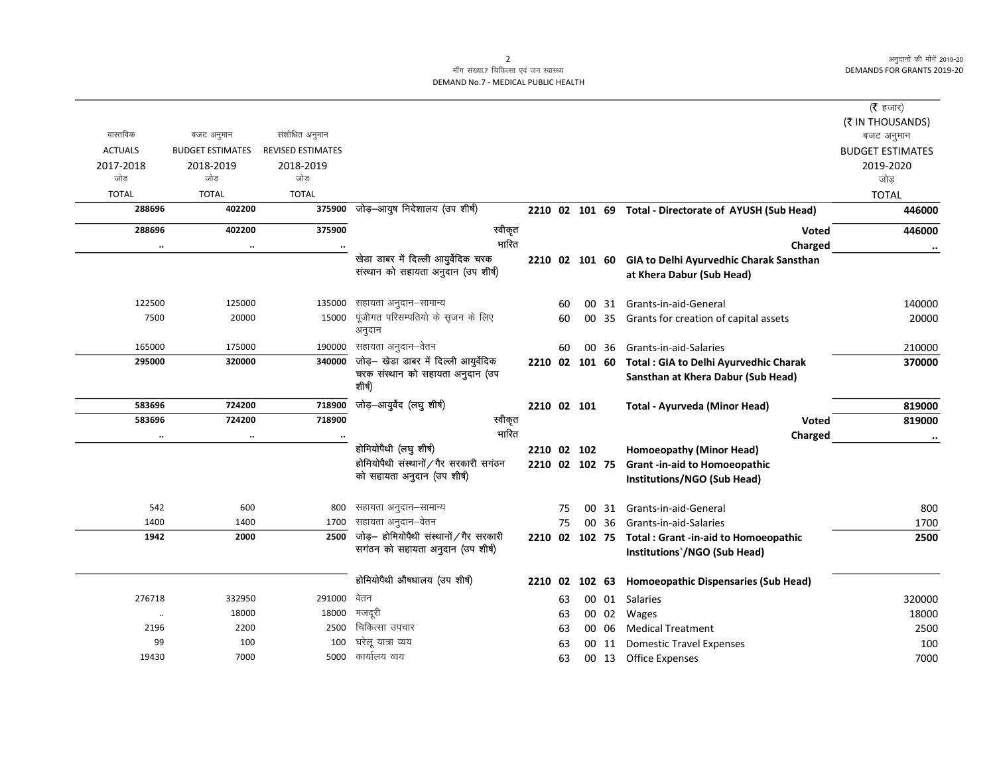$\overline{\phantom{0}}$ 

## माँग संख्या.7 चिकित्सा एवं जन स्वास्थ्य DEMAND No.7 - MEDICAL PUBLIC HEALTH

| वास्तविक       | बजट अनुमान              | संशोधित अनुमान           |                                            |                |    |        |       |                                                        | ( $\bar{\tau}$ हजार)<br>(₹ IN THOUSANDS) |
|----------------|-------------------------|--------------------------|--------------------------------------------|----------------|----|--------|-------|--------------------------------------------------------|------------------------------------------|
| <b>ACTUALS</b> | <b>BUDGET ESTIMATES</b> | <b>REVISED ESTIMATES</b> |                                            |                |    |        |       |                                                        | बजट अनुमान<br><b>BUDGET ESTIMATES</b>    |
| 2017-2018      | 2018-2019               | 2018-2019                |                                            |                |    |        |       |                                                        | 2019-2020                                |
| जोड            | जोड                     | जोड                      |                                            |                |    |        |       |                                                        | जोड़                                     |
| <b>TOTAL</b>   | <b>TOTAL</b>            | <b>TOTAL</b>             |                                            |                |    |        |       |                                                        | <b>TOTAL</b>                             |
| 288696         | 402200                  | 375900                   | जोड़-आयुष निदेशालय (उप शीर्ष)              |                |    |        |       | 2210 02 101 69 Total - Directorate of AYUSH (Sub Head) | 446000                                   |
| 288696         | 402200                  | 375900                   | स्वीकृत                                    |                |    |        |       | <b>Voted</b>                                           | 446000                                   |
| $\ldots$       | $\ddotsc$               |                          | भारित                                      |                |    |        |       | Charged                                                |                                          |
|                |                         |                          | खेडा डाबर में दिल्ली आयुर्वेदिक चरक        | 2210 02 101 60 |    |        |       | GIA to Delhi Ayurvedhic Charak Sansthan                |                                          |
|                |                         |                          | संस्थान को सहायता अनुदान (उप शीर्ष)        |                |    |        |       | at Khera Dabur (Sub Head)                              |                                          |
| 122500         | 125000                  | 135000                   | सहायता अनुदान–सामान्य                      |                | 60 |        |       | 00 31 Grants-in-aid-General                            | 140000                                   |
| 7500           | 20000                   | 15000                    | पूंजीगत परिसम्पतियो के सृजन के लिए         |                | 60 |        | 00 35 | Grants for creation of capital assets                  | 20000                                    |
|                |                         |                          | अनुदान                                     |                |    |        |       |                                                        |                                          |
| 165000         | 175000                  | 190000                   | सहायता अनुदान–वेतन                         |                | 60 | 00     | -36   | Grants-in-aid-Salaries                                 | 210000                                   |
| 295000         | 320000                  | 340000                   | जोड़— खेडा डाबर में दिल्ली आयुर्वेदिक      | 2210 02 101 60 |    |        |       | Total : GIA to Delhi Ayurvedhic Charak                 | 370000                                   |
|                |                         |                          | चरक संस्थान को सहायता अनुदान (उप<br>शीर्ष) |                |    |        |       | Sansthan at Khera Dabur (Sub Head)                     |                                          |
| 583696         | 724200                  | 718900                   | जोड़-आयुर्वेद (लघु शीर्ष)                  | 2210 02 101    |    |        |       | Total - Ayurveda (Minor Head)                          | 819000                                   |
| 583696         | 724200                  | 718900                   | स्वीकृत                                    |                |    |        |       | Voted                                                  | 819000                                   |
| $\ldots$       | $\cdot$                 |                          | भारित                                      |                |    |        |       | Charged                                                |                                          |
|                |                         |                          | होमियोपैथी (लघु शीर्ष)                     | 2210 02 102    |    |        |       | Homoeopathy (Minor Head)                               |                                          |
|                |                         |                          | होमियोपैथी संस्थानों / गैर सरकारी सगंठन    | 2210 02 102 75 |    |        |       | <b>Grant-in-aid to Homoeopathic</b>                    |                                          |
|                |                         |                          | को सहायता अनुदान (उप शीर्ष)                |                |    |        |       | Institutions/NGO (Sub Head)                            |                                          |
| 542            | 600                     | 800                      | सहायता अनुदान–सामान्य                      |                | 75 | 00     | 31    | Grants-in-aid-General                                  | 800                                      |
| 1400           | 1400                    | 1700                     | सहायता अनुदान–वेतन                         |                | 75 | 00     | 36    | Grants-in-aid-Salaries                                 | 1700                                     |
| 1942           | 2000                    | 2500                     | जोड़- होमियोपैथी संस्थानों / गैर सरकारी    |                |    |        |       | 2210 02 102 75 Total : Grant -in-aid to Homoeopathic   | 2500                                     |
|                |                         |                          | सगंठन को सहायता अनुदान (उप शीर्ष)          |                |    |        |       | Institutions`/NGO (Sub Head)                           |                                          |
|                |                         |                          | होमियोपैथी औषधालय (उप शीर्ष)               | 2210 02        |    | 102 63 |       | <b>Homoeopathic Dispensaries (Sub Head)</b>            |                                          |
| 276718         | 332950                  | 291000                   | वेतन                                       |                | 63 |        | 00 01 | Salaries                                               | 320000                                   |
| $\cdot\cdot$   | 18000                   | 18000                    | मजदूरी                                     |                | 63 |        | 00 02 | Wages                                                  | 18000                                    |
| 2196           | 2200                    | 2500                     | चिकित्सा उपचार                             |                | 63 |        | 00 06 | <b>Medical Treatment</b>                               | 2500                                     |
| 99             | 100                     | 100                      | घरेलू यात्रा व्यय                          |                | 63 |        |       | 00 11 Domestic Travel Expenses                         | 100                                      |
| 19430          | 7000                    | 5000                     | कार्यालय व्यय                              |                | 63 |        |       | 00 13 Office Expenses                                  | 7000                                     |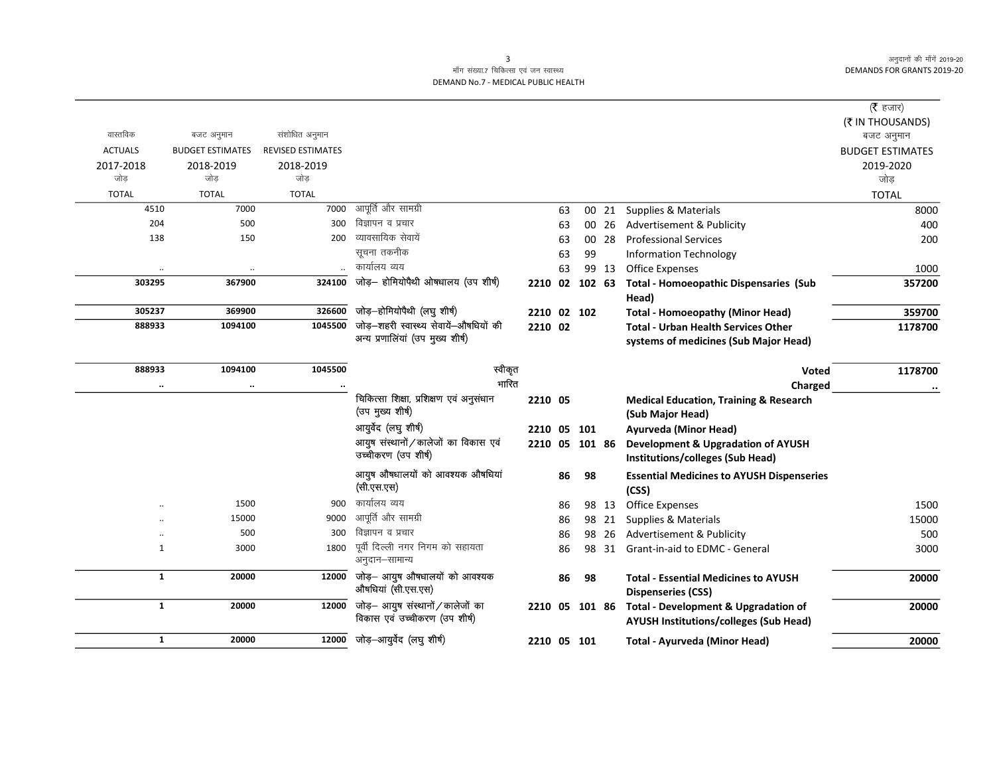$\overline{\phantom{0}}$ 

## माँग संख्या.7 चिकित्सा एवं जन स्वास्थ्य DEMAND No.7 - MEDICAL PUBLIC HEALTH

|                |                         |                          |                                                |                |    |        |       |                                                   | ( $\bar{\tau}$ हजार)    |
|----------------|-------------------------|--------------------------|------------------------------------------------|----------------|----|--------|-------|---------------------------------------------------|-------------------------|
|                |                         |                          |                                                |                |    |        |       |                                                   | (₹ IN THOUSANDS)        |
| वास्तविक       | बजट अनुमान              | संशोधित अनुमान           |                                                |                |    |        |       |                                                   | बजट अनुमान              |
| <b>ACTUALS</b> | <b>BUDGET ESTIMATES</b> | <b>REVISED ESTIMATES</b> |                                                |                |    |        |       |                                                   | <b>BUDGET ESTIMATES</b> |
| 2017-2018      | 2018-2019               | 2018-2019                |                                                |                |    |        |       |                                                   | 2019-2020               |
| जोड            | जोड                     | जोड                      |                                                |                |    |        |       |                                                   | जोड                     |
| <b>TOTAL</b>   | <b>TOTAL</b>            | <b>TOTAL</b>             |                                                |                |    |        |       |                                                   | <b>TOTAL</b>            |
| 4510           | 7000                    | 7000                     | आपूर्ति और सामग्री                             |                | 63 |        | 00 21 | Supplies & Materials                              | 8000                    |
| 204            | 500                     | 300                      | विज्ञापन व प्रचार                              |                | 63 |        | 00 26 | Advertisement & Publicity                         | 400                     |
| 138            | 150                     | 200                      | व्यावसायिक सेवायें                             |                | 63 |        | 00 28 | <b>Professional Services</b>                      | 200                     |
|                |                         |                          | सूचना तकनीक                                    |                | 63 | 99     |       | <b>Information Technology</b>                     |                         |
|                |                         |                          | कार्यालय व्यय                                  |                | 63 |        | 99 13 | <b>Office Expenses</b>                            | 1000                    |
| 303295         | 367900                  | 324100                   | जोड़- होमियोपैथी ओषधालय (उप शीर्ष)             | 2210           | 02 | 102 63 |       | <b>Total - Homoeopathic Dispensaries (Sub</b>     | 357200                  |
|                |                         |                          |                                                |                |    |        |       | Head)                                             |                         |
| 305237         | 369900                  | 326600                   | जोड़—होमियोपैथी (लघु शीर्ष)                    | 2210 02 102    |    |        |       | <b>Total - Homoeopathy (Minor Head)</b>           | 359700                  |
| 888933         | 1094100                 |                          | 1045500 जोड़-शहरी स्वास्थ्य सेवायें-औषधियों की | 2210 02        |    |        |       | <b>Total - Urban Health Services Other</b>        | 1178700                 |
|                |                         |                          | अन्य प्रणालियां (उप मुख्य शीर्ष)               |                |    |        |       | systems of medicines (Sub Major Head)             |                         |
|                |                         |                          |                                                |                |    |        |       |                                                   |                         |
| 888933         | 1094100                 | 1045500                  | स्वीकृत                                        |                |    |        |       | Voted                                             | 1178700                 |
|                |                         |                          | भारित                                          |                |    |        |       | Charged                                           |                         |
|                |                         |                          | चिकित्सा शिक्षा, प्रशिक्षण एवं अनुसंधान        | 2210 05        |    |        |       | <b>Medical Education, Training &amp; Research</b> |                         |
|                |                         |                          | (उप मुख्य शीर्ष)                               |                |    |        |       | (Sub Major Head)                                  |                         |
|                |                         |                          | आयुर्वेद (लघु शीर्ष)                           | 2210 05 101    |    |        |       | Ayurveda (Minor Head)                             |                         |
|                |                         |                          | आयुष संस्थानों / कालेजों का विकास एवं          | 2210 05 101 86 |    |        |       | Development & Upgradation of AYUSH                |                         |
|                |                         |                          | उच्चीकरण (उप शीर्ष)                            |                |    |        |       | Institutions/colleges (Sub Head)                  |                         |
|                |                         |                          | आयुष औषधालयों को आवश्यक औषधियां                |                | 86 | 98     |       | <b>Essential Medicines to AYUSH Dispenseries</b>  |                         |
|                |                         |                          | (सी.एस.एस)                                     |                |    |        |       | (CSS)                                             |                         |
|                | 1500                    | 900                      | कार्यालय व्यय                                  |                | 86 |        | 98 13 | Office Expenses                                   | 1500                    |
|                | 15000                   | 9000                     | आपूर्ति और सामग्री                             |                | 86 |        | 98 21 | Supplies & Materials                              | 15000                   |
|                | 500                     | 300                      | विज्ञापन व प्रचार                              |                | 86 | 98     | 26    | Advertisement & Publicity                         | 500                     |
| 1              | 3000                    | 1800                     | पूर्वी दिल्ली नगर निगम को सहायता               |                | 86 |        | 98 31 | Grant-in-aid to EDMC - General                    | 3000                    |
|                |                         |                          | अनुदान–सामान्य                                 |                |    |        |       |                                                   |                         |
| $\mathbf{1}$   | 20000                   | 12000                    | जोड़— आयुष औषधालयों को आवश्यक                  |                | 86 | 98     |       | <b>Total - Essential Medicines to AYUSH</b>       | 20000                   |
|                |                         |                          | औषधियां (सी.एस.एस)                             |                |    |        |       | <b>Dispenseries (CSS)</b>                         |                         |
| $\mathbf{1}$   | 20000                   | 12000                    | जोड़– आयुष संस्थानों / कालेजों का              | 2210 05 101 86 |    |        |       | <b>Total - Development &amp; Upgradation of</b>   | 20000                   |
|                |                         |                          | विकास एवं उच्चीकरण (उप शीर्ष)                  |                |    |        |       | <b>AYUSH Institutions/colleges (Sub Head)</b>     |                         |
| $\mathbf{1}$   | 20000                   | 12000                    | जोड़–आयुर्वेद (लघु शीर्ष)                      | 2210 05 101    |    |        |       | Total - Ayurveda (Minor Head)                     | 20000                   |
|                |                         |                          |                                                |                |    |        |       |                                                   |                         |

 $\overline{\mathbf{3}}$